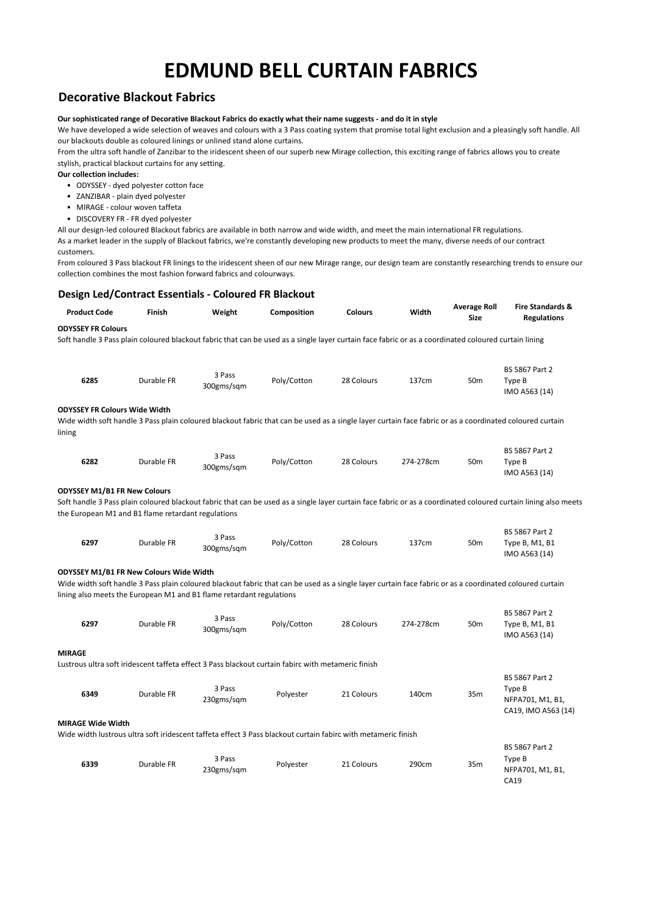### **Decorative Blackout Fabrics**

#### **Our sophisticated range of Decorative Blackout Fabrics do exactly what their name suggests - and do it in style**

We have developed a wide selection of weaves and colours with a 3 Pass coating system that promise total light exclusion and a pleasingly soft handle. All our blackouts double as coloured linings or unlined stand alone curtains.

From the ultra soft handle of Zanzibar to the iridescent sheen of our superb new Mirage collection, this exciting range of fabrics allows you to create stylish, practical blackout curtains for any setting.

**Our collection includes:**

- ODYSSEY dyed polyester cotton face
- ZANZIBAR plain dyed polyester
- MIRAGE colour woven taffeta
- DISCOVERY FR FR dyed polyester

All our design-led coloured Blackout fabrics are available in both narrow and wide width, and meet the main international FR regulations.

As a market leader in the supply of Blackout fabrics, we're constantly developing new products to meet the many, diverse needs of our contract customers.

From coloured 3 Pass blackout FR linings to the iridescent sheen of our new Mirage range, our design team are constantly researching trends to ensure our collection combines the most fashion forward fabrics and colourways.

#### **Design Led/Contract Essentials - Coloured FR Blackout**

| Soft handle 3 Pass plain coloured blackout fabric that can be used as a single layer curtain face fabric or as a coordinated coloured curtain lining<br><b>BS 5867 Part 2</b><br>3 Pass<br>Poly/Cotton<br>6285<br>Durable FR<br>28 Colours<br>137cm<br>50 <sub>m</sub><br>Type B<br>300gms/sqm<br>IMO A563 (14)<br><b>ODYSSEY FR Colours Wide Width</b><br>Wide width soft handle 3 Pass plain coloured blackout fabric that can be used as a single layer curtain face fabric or as a coordinated coloured curtain<br><b>BS 5867 Part 2</b><br>3 Pass<br>Poly/Cotton<br>6282<br>Durable FR<br>28 Colours<br>274-278cm<br>50 <sub>m</sub><br>Type B<br>300gms/sqm<br>IMO A563 (14)<br><b>ODYSSEY M1/B1 FR New Colours</b><br>Soft handle 3 Pass plain coloured blackout fabric that can be used as a single layer curtain face fabric or as a coordinated coloured curtain lining also meets<br>the European M1 and B1 flame retardant regulations<br>BS 5867 Part 2<br>3 Pass<br>6297<br>Durable FR<br>Poly/Cotton<br>28 Colours<br>137cm<br>50 <sub>m</sub><br>Type B, M1, B1<br>300gms/sqm<br>IMO A563 (14)<br>ODYSSEY M1/B1 FR New Colours Wide Width<br>Wide width soft handle 3 Pass plain coloured blackout fabric that can be used as a single layer curtain face fabric or as a coordinated coloured curtain<br>lining also meets the European M1 and B1 flame retardant regulations<br><b>BS 5867 Part 2</b><br>3 Pass<br>6297<br>Durable FR<br>Poly/Cotton<br>28 Colours<br>274-278cm<br>50 <sub>m</sub><br>Type B, M1, B1<br>300gms/sqm<br>IMO A563 (14) | <b>Product Code</b>       | Finish | Weight | Composition | <b>Colours</b> | Width | <b>Average Roll</b><br><b>Size</b> | <b>Fire Standards &amp;</b><br><b>Regulations</b> |
|----------------------------------------------------------------------------------------------------------------------------------------------------------------------------------------------------------------------------------------------------------------------------------------------------------------------------------------------------------------------------------------------------------------------------------------------------------------------------------------------------------------------------------------------------------------------------------------------------------------------------------------------------------------------------------------------------------------------------------------------------------------------------------------------------------------------------------------------------------------------------------------------------------------------------------------------------------------------------------------------------------------------------------------------------------------------------------------------------------------------------------------------------------------------------------------------------------------------------------------------------------------------------------------------------------------------------------------------------------------------------------------------------------------------------------------------------------------------------------------------------------------------------------------------------------------------|---------------------------|--------|--------|-------------|----------------|-------|------------------------------------|---------------------------------------------------|
|                                                                                                                                                                                                                                                                                                                                                                                                                                                                                                                                                                                                                                                                                                                                                                                                                                                                                                                                                                                                                                                                                                                                                                                                                                                                                                                                                                                                                                                                                                                                                                      | <b>ODYSSEY FR Colours</b> |        |        |             |                |       |                                    |                                                   |
|                                                                                                                                                                                                                                                                                                                                                                                                                                                                                                                                                                                                                                                                                                                                                                                                                                                                                                                                                                                                                                                                                                                                                                                                                                                                                                                                                                                                                                                                                                                                                                      |                           |        |        |             |                |       |                                    |                                                   |
|                                                                                                                                                                                                                                                                                                                                                                                                                                                                                                                                                                                                                                                                                                                                                                                                                                                                                                                                                                                                                                                                                                                                                                                                                                                                                                                                                                                                                                                                                                                                                                      |                           |        |        |             |                |       |                                    |                                                   |
|                                                                                                                                                                                                                                                                                                                                                                                                                                                                                                                                                                                                                                                                                                                                                                                                                                                                                                                                                                                                                                                                                                                                                                                                                                                                                                                                                                                                                                                                                                                                                                      |                           |        |        |             |                |       |                                    |                                                   |
|                                                                                                                                                                                                                                                                                                                                                                                                                                                                                                                                                                                                                                                                                                                                                                                                                                                                                                                                                                                                                                                                                                                                                                                                                                                                                                                                                                                                                                                                                                                                                                      |                           |        |        |             |                |       |                                    |                                                   |
|                                                                                                                                                                                                                                                                                                                                                                                                                                                                                                                                                                                                                                                                                                                                                                                                                                                                                                                                                                                                                                                                                                                                                                                                                                                                                                                                                                                                                                                                                                                                                                      |                           |        |        |             |                |       |                                    |                                                   |
|                                                                                                                                                                                                                                                                                                                                                                                                                                                                                                                                                                                                                                                                                                                                                                                                                                                                                                                                                                                                                                                                                                                                                                                                                                                                                                                                                                                                                                                                                                                                                                      |                           |        |        |             |                |       |                                    |                                                   |
|                                                                                                                                                                                                                                                                                                                                                                                                                                                                                                                                                                                                                                                                                                                                                                                                                                                                                                                                                                                                                                                                                                                                                                                                                                                                                                                                                                                                                                                                                                                                                                      |                           |        |        |             |                |       |                                    |                                                   |
|                                                                                                                                                                                                                                                                                                                                                                                                                                                                                                                                                                                                                                                                                                                                                                                                                                                                                                                                                                                                                                                                                                                                                                                                                                                                                                                                                                                                                                                                                                                                                                      | lining                    |        |        |             |                |       |                                    |                                                   |
|                                                                                                                                                                                                                                                                                                                                                                                                                                                                                                                                                                                                                                                                                                                                                                                                                                                                                                                                                                                                                                                                                                                                                                                                                                                                                                                                                                                                                                                                                                                                                                      |                           |        |        |             |                |       |                                    |                                                   |
|                                                                                                                                                                                                                                                                                                                                                                                                                                                                                                                                                                                                                                                                                                                                                                                                                                                                                                                                                                                                                                                                                                                                                                                                                                                                                                                                                                                                                                                                                                                                                                      |                           |        |        |             |                |       |                                    |                                                   |
|                                                                                                                                                                                                                                                                                                                                                                                                                                                                                                                                                                                                                                                                                                                                                                                                                                                                                                                                                                                                                                                                                                                                                                                                                                                                                                                                                                                                                                                                                                                                                                      |                           |        |        |             |                |       |                                    |                                                   |
|                                                                                                                                                                                                                                                                                                                                                                                                                                                                                                                                                                                                                                                                                                                                                                                                                                                                                                                                                                                                                                                                                                                                                                                                                                                                                                                                                                                                                                                                                                                                                                      |                           |        |        |             |                |       |                                    |                                                   |
|                                                                                                                                                                                                                                                                                                                                                                                                                                                                                                                                                                                                                                                                                                                                                                                                                                                                                                                                                                                                                                                                                                                                                                                                                                                                                                                                                                                                                                                                                                                                                                      |                           |        |        |             |                |       |                                    |                                                   |
|                                                                                                                                                                                                                                                                                                                                                                                                                                                                                                                                                                                                                                                                                                                                                                                                                                                                                                                                                                                                                                                                                                                                                                                                                                                                                                                                                                                                                                                                                                                                                                      |                           |        |        |             |                |       |                                    |                                                   |
|                                                                                                                                                                                                                                                                                                                                                                                                                                                                                                                                                                                                                                                                                                                                                                                                                                                                                                                                                                                                                                                                                                                                                                                                                                                                                                                                                                                                                                                                                                                                                                      |                           |        |        |             |                |       |                                    |                                                   |
|                                                                                                                                                                                                                                                                                                                                                                                                                                                                                                                                                                                                                                                                                                                                                                                                                                                                                                                                                                                                                                                                                                                                                                                                                                                                                                                                                                                                                                                                                                                                                                      |                           |        |        |             |                |       |                                    |                                                   |
|                                                                                                                                                                                                                                                                                                                                                                                                                                                                                                                                                                                                                                                                                                                                                                                                                                                                                                                                                                                                                                                                                                                                                                                                                                                                                                                                                                                                                                                                                                                                                                      |                           |        |        |             |                |       |                                    |                                                   |
|                                                                                                                                                                                                                                                                                                                                                                                                                                                                                                                                                                                                                                                                                                                                                                                                                                                                                                                                                                                                                                                                                                                                                                                                                                                                                                                                                                                                                                                                                                                                                                      |                           |        |        |             |                |       |                                    |                                                   |
|                                                                                                                                                                                                                                                                                                                                                                                                                                                                                                                                                                                                                                                                                                                                                                                                                                                                                                                                                                                                                                                                                                                                                                                                                                                                                                                                                                                                                                                                                                                                                                      |                           |        |        |             |                |       |                                    |                                                   |
|                                                                                                                                                                                                                                                                                                                                                                                                                                                                                                                                                                                                                                                                                                                                                                                                                                                                                                                                                                                                                                                                                                                                                                                                                                                                                                                                                                                                                                                                                                                                                                      |                           |        |        |             |                |       |                                    |                                                   |
|                                                                                                                                                                                                                                                                                                                                                                                                                                                                                                                                                                                                                                                                                                                                                                                                                                                                                                                                                                                                                                                                                                                                                                                                                                                                                                                                                                                                                                                                                                                                                                      |                           |        |        |             |                |       |                                    |                                                   |
|                                                                                                                                                                                                                                                                                                                                                                                                                                                                                                                                                                                                                                                                                                                                                                                                                                                                                                                                                                                                                                                                                                                                                                                                                                                                                                                                                                                                                                                                                                                                                                      |                           |        |        |             |                |       |                                    |                                                   |
|                                                                                                                                                                                                                                                                                                                                                                                                                                                                                                                                                                                                                                                                                                                                                                                                                                                                                                                                                                                                                                                                                                                                                                                                                                                                                                                                                                                                                                                                                                                                                                      |                           |        |        |             |                |       |                                    |                                                   |
|                                                                                                                                                                                                                                                                                                                                                                                                                                                                                                                                                                                                                                                                                                                                                                                                                                                                                                                                                                                                                                                                                                                                                                                                                                                                                                                                                                                                                                                                                                                                                                      |                           |        |        |             |                |       |                                    |                                                   |
|                                                                                                                                                                                                                                                                                                                                                                                                                                                                                                                                                                                                                                                                                                                                                                                                                                                                                                                                                                                                                                                                                                                                                                                                                                                                                                                                                                                                                                                                                                                                                                      | <b>MIRAGE</b>             |        |        |             |                |       |                                    |                                                   |
| Lustrous ultra soft iridescent taffeta effect 3 Pass blackout curtain fabirc with metameric finish                                                                                                                                                                                                                                                                                                                                                                                                                                                                                                                                                                                                                                                                                                                                                                                                                                                                                                                                                                                                                                                                                                                                                                                                                                                                                                                                                                                                                                                                   |                           |        |        |             |                |       |                                    |                                                   |
| BS 5867 Part 2                                                                                                                                                                                                                                                                                                                                                                                                                                                                                                                                                                                                                                                                                                                                                                                                                                                                                                                                                                                                                                                                                                                                                                                                                                                                                                                                                                                                                                                                                                                                                       |                           |        |        |             |                |       |                                    |                                                   |
| 3 Pass<br>Type B<br>6349<br>Durable FR<br>Polyester<br>21 Colours<br>140cm<br>35m<br>230gms/sqm<br>NFPA701, M1, B1,                                                                                                                                                                                                                                                                                                                                                                                                                                                                                                                                                                                                                                                                                                                                                                                                                                                                                                                                                                                                                                                                                                                                                                                                                                                                                                                                                                                                                                                  |                           |        |        |             |                |       |                                    |                                                   |
| CA19, IMO A563 (14)                                                                                                                                                                                                                                                                                                                                                                                                                                                                                                                                                                                                                                                                                                                                                                                                                                                                                                                                                                                                                                                                                                                                                                                                                                                                                                                                                                                                                                                                                                                                                  |                           |        |        |             |                |       |                                    |                                                   |
| <b>MIRAGE Wide Width</b>                                                                                                                                                                                                                                                                                                                                                                                                                                                                                                                                                                                                                                                                                                                                                                                                                                                                                                                                                                                                                                                                                                                                                                                                                                                                                                                                                                                                                                                                                                                                             |                           |        |        |             |                |       |                                    |                                                   |
| Wide width lustrous ultra soft iridescent taffeta effect 3 Pass blackout curtain fabirc with metameric finish                                                                                                                                                                                                                                                                                                                                                                                                                                                                                                                                                                                                                                                                                                                                                                                                                                                                                                                                                                                                                                                                                                                                                                                                                                                                                                                                                                                                                                                        |                           |        |        |             |                |       |                                    |                                                   |

| 6339 | Durable FR | 3 Pass<br>230gms/sqm | Polyester | 21 Colours | 290cm | 35 <sub>m</sub> | <b>BS 5867 Part 2</b><br>Type B<br>NFPA701, M1, B1,<br>CA19 |
|------|------------|----------------------|-----------|------------|-------|-----------------|-------------------------------------------------------------|
|------|------------|----------------------|-----------|------------|-------|-----------------|-------------------------------------------------------------|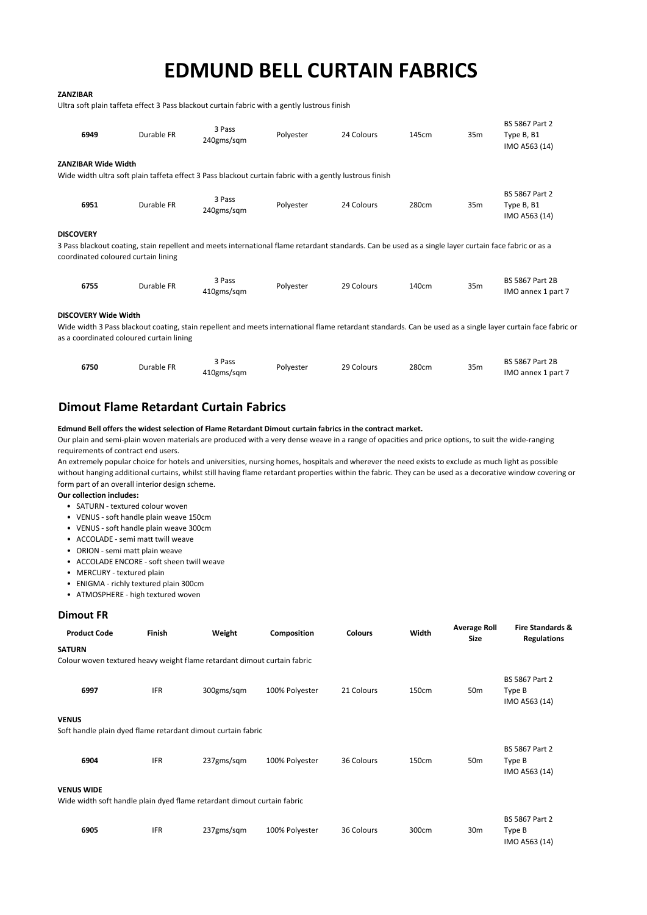#### **ZANZIBAR**

Ultra soft plain taffeta effect 3 Pass blackout curtain fabric with a gently lustrous finish

| 6949                                                    | Durable FR | 3 Pass<br>240gms/sqm                                                                                                                                  | Polyester | 24 Colours | 145cm | 35m             | <b>BS 5867 Part 2</b><br>Type B, B1<br>IMO A563 (14)                                                                                                        |
|---------------------------------------------------------|------------|-------------------------------------------------------------------------------------------------------------------------------------------------------|-----------|------------|-------|-----------------|-------------------------------------------------------------------------------------------------------------------------------------------------------------|
| <b>ZANZIBAR Wide Width</b>                              |            | Wide width ultra soft plain taffeta effect 3 Pass blackout curtain fabric with a gently lustrous finish                                               |           |            |       |                 |                                                                                                                                                             |
| 6951                                                    | Durable FR | 3 Pass<br>240gms/sqm                                                                                                                                  | Polyester | 24 Colours | 280cm | 35m             | <b>BS 5867 Part 2</b><br>Type B, B1<br>IMO A563 (14)                                                                                                        |
| <b>DISCOVERY</b><br>coordinated coloured curtain lining |            | 3 Pass blackout coating, stain repellent and meets international flame retardant standards. Can be used as a single layer curtain face fabric or as a |           |            |       |                 |                                                                                                                                                             |
| 6755                                                    | Durable FR | 3 Pass<br>410gms/sqm                                                                                                                                  | Polyester | 29 Colours | 140cm | 35 <sub>m</sub> | <b>BS 5867 Part 2B</b><br>IMO annex 1 part 7                                                                                                                |
| <b>DISCOVERY Wide Width</b>                             |            |                                                                                                                                                       |           |            |       |                 | Wide width 3 Pass blackout coating, stain repellent and meets international flame retardant standards. Can be used as a single layer curtain face fabric or |

as a coordinated coloured curtain lining

| 6750 | Durable FR | 3 Pass<br>410gms/sqm | Polyester | 29 Colours | 280cm | 35 <sub>m</sub> | <b>BS 5867 Part 2B</b><br>IMO annex 1 part 7 |
|------|------------|----------------------|-----------|------------|-------|-----------------|----------------------------------------------|
|------|------------|----------------------|-----------|------------|-------|-----------------|----------------------------------------------|

## **Dimout Flame Retardant Curtain Fabrics**

### **Edmund Bell offers the widest selection of Flame Retardant Dimout curtain fabrics in the contract market.**

Our plain and semi-plain woven materials are produced with a very dense weave in a range of opacities and price options, to suit the wide-ranging requirements of contract end users.

An extremely popular choice for hotels and universities, nursing homes, hospitals and wherever the need exists to exclude as much light as possible without hanging additional curtains, whilst still having flame retardant properties within the fabric. They can be used as a decorative window covering or form part of an overall interior design scheme.

#### **Our collection includes:**

- SATURN textured colour woven
- VENUS soft handle plain weave 150cm
- VENUS soft handle plain weave 300cm
- ACCOLADE semi matt twill weave
- ORION semi matt plain weave
- ACCOLADE ENCORE soft sheen twill weave
- MERCURY textured plain
- ENIGMA richly textured plain 300cm
- ATMOSPHERE high textured woven

#### **Dimout FR**

| <b>Product Code</b>                                                                          | Finish     | Weight     | Composition    | <b>Colours</b> | Width | <b>Average Roll</b><br><b>Size</b> | <b>Fire Standards &amp;</b><br><b>Regulations</b> |
|----------------------------------------------------------------------------------------------|------------|------------|----------------|----------------|-------|------------------------------------|---------------------------------------------------|
| <b>SATURN</b>                                                                                |            |            |                |                |       |                                    |                                                   |
| Colour woven textured heavy weight flame retardant dimout curtain fabric                     |            |            |                |                |       |                                    |                                                   |
| 6997                                                                                         | <b>IFR</b> | 300gms/sqm | 100% Polyester | 21 Colours     | 150cm | 50 <sub>m</sub>                    | BS 5867 Part 2<br>Type B<br>IMO A563 (14)         |
| <b>VENUS</b>                                                                                 |            |            |                |                |       |                                    |                                                   |
| Soft handle plain dyed flame retardant dimout curtain fabric                                 |            |            |                |                |       |                                    |                                                   |
| 6904                                                                                         | <b>IFR</b> | 237gms/sqm | 100% Polyester | 36 Colours     | 150cm | 50 <sub>m</sub>                    | <b>BS 5867 Part 2</b><br>Type B<br>IMO A563 (14)  |
| <b>VENUS WIDE</b><br>Wide width soft handle plain dyed flame retardant dimout curtain fabric |            |            |                |                |       |                                    |                                                   |
| 6905                                                                                         | <b>IFR</b> | 237gms/sqm | 100% Polyester | 36 Colours     | 300cm | 30 <sub>m</sub>                    | BS 5867 Part 2<br>Type B<br>IMO A563 (14)         |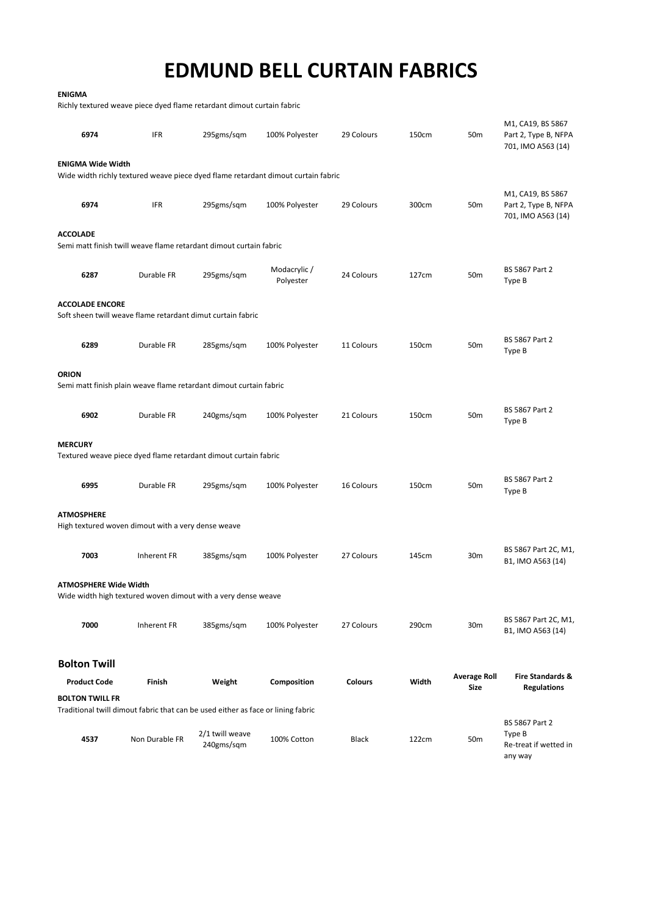| <b>ENIGMA</b>                                                                                              |                |                               |                                                                                   |                |       |                             |                                                                 |  |
|------------------------------------------------------------------------------------------------------------|----------------|-------------------------------|-----------------------------------------------------------------------------------|----------------|-------|-----------------------------|-----------------------------------------------------------------|--|
| Richly textured weave piece dyed flame retardant dimout curtain fabric                                     |                |                               |                                                                                   |                |       |                             |                                                                 |  |
| 6974                                                                                                       | <b>IFR</b>     | 295gms/sqm                    | 100% Polyester                                                                    | 29 Colours     | 150cm | 50 <sub>m</sub>             | M1, CA19, BS 5867<br>Part 2, Type B, NFPA<br>701, IMO A563 (14) |  |
| <b>ENIGMA Wide Width</b>                                                                                   |                |                               | Wide width richly textured weave piece dyed flame retardant dimout curtain fabric |                |       |                             |                                                                 |  |
| 6974                                                                                                       | <b>IFR</b>     | 295gms/sqm                    | 100% Polyester                                                                    | 29 Colours     | 300cm | 50 <sub>m</sub>             | M1, CA19, BS 5867<br>Part 2, Type B, NFPA<br>701, IMO A563 (14) |  |
| <b>ACCOLADE</b><br>Semi matt finish twill weave flame retardant dimout curtain fabric                      |                |                               |                                                                                   |                |       |                             |                                                                 |  |
| 6287                                                                                                       | Durable FR     | 295gms/sqm                    | Modacrylic/<br>Polyester                                                          | 24 Colours     | 127cm | 50 <sub>m</sub>             | BS 5867 Part 2<br>Type B                                        |  |
| <b>ACCOLADE ENCORE</b><br>Soft sheen twill weave flame retardant dimut curtain fabric                      |                |                               |                                                                                   |                |       |                             |                                                                 |  |
| 6289                                                                                                       | Durable FR     | 285gms/sqm                    | 100% Polyester                                                                    | 11 Colours     | 150cm | 50 <sub>m</sub>             | BS 5867 Part 2<br>Type B                                        |  |
| <b>ORION</b><br>Semi matt finish plain weave flame retardant dimout curtain fabric                         |                |                               |                                                                                   |                |       |                             |                                                                 |  |
| 6902                                                                                                       | Durable FR     | 240gms/sqm                    | 100% Polyester                                                                    | 21 Colours     | 150cm | 50 <sub>m</sub>             | BS 5867 Part 2<br>Type B                                        |  |
| <b>MERCURY</b><br>Textured weave piece dyed flame retardant dimout curtain fabric                          |                |                               |                                                                                   |                |       |                             |                                                                 |  |
| 6995                                                                                                       | Durable FR     | 295gms/sqm                    | 100% Polyester                                                                    | 16 Colours     | 150cm | 50 <sub>m</sub>             | BS 5867 Part 2<br>Type B                                        |  |
| <b>ATMOSPHERE</b><br>High textured woven dimout with a very dense weave                                    |                |                               |                                                                                   |                |       |                             |                                                                 |  |
| 7003                                                                                                       | Inherent FR    | 385gms/sqm                    | 100% Polyester                                                                    | 27 Colours     | 145cm | 30 <sub>m</sub>             | BS 5867 Part 2C, M1,<br>B1, IMO A563 (14)                       |  |
| <b>ATMOSPHERE Wide Width</b><br>Wide width high textured woven dimout with a very dense weave              |                |                               |                                                                                   |                |       |                             |                                                                 |  |
| 7000                                                                                                       | Inherent FR    | 385gms/sqm                    | 100% Polyester                                                                    | 27 Colours     | 290cm | 30m                         | BS 5867 Part 2C, M1,<br>B1, IMO A563 (14)                       |  |
| <b>Bolton Twill</b>                                                                                        |                |                               |                                                                                   |                |       |                             |                                                                 |  |
| <b>Product Code</b>                                                                                        | Finish         | Weight                        | Composition                                                                       | <b>Colours</b> | Width | <b>Average Roll</b><br>Size | Fire Standards &<br><b>Regulations</b>                          |  |
| <b>BOLTON TWILL FR</b><br>Traditional twill dimout fabric that can be used either as face or lining fabric |                |                               |                                                                                   |                |       |                             |                                                                 |  |
| 4537                                                                                                       | Non Durable FR | 2/1 twill weave<br>240gms/sqm | 100% Cotton                                                                       | <b>Black</b>   | 122cm | 50 <sub>m</sub>             | BS 5867 Part 2<br>Type B<br>Re-treat if wetted in<br>any way    |  |